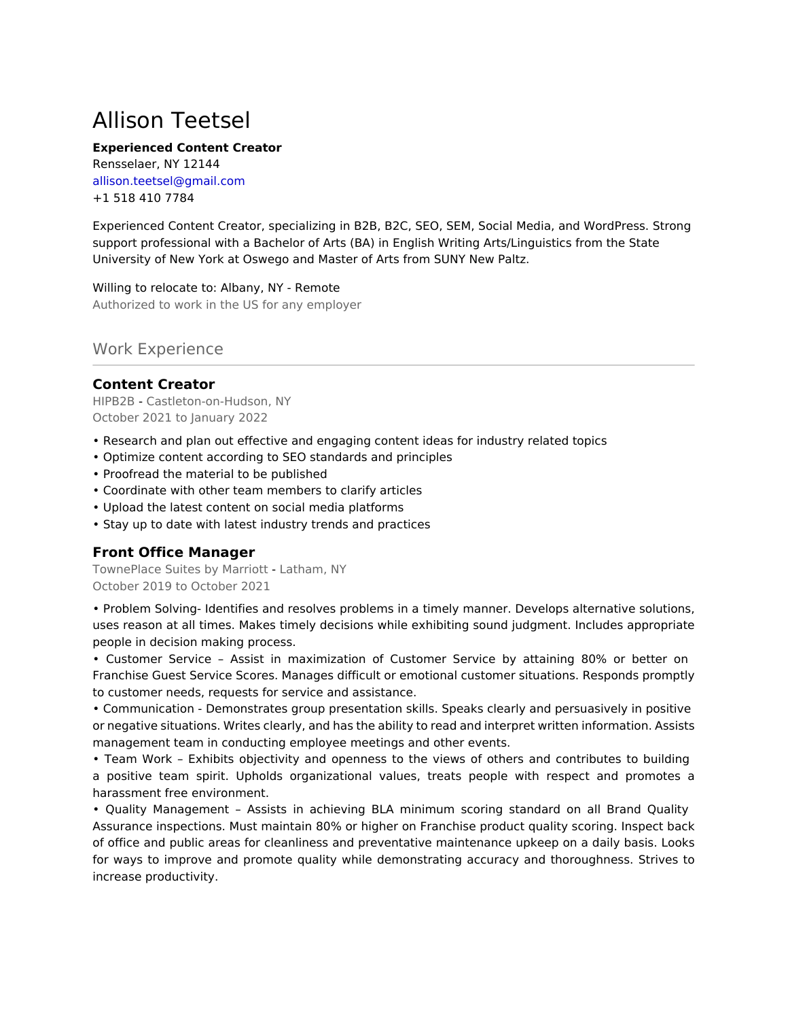# Allison Teetsel

#### **Experienced Content Creator**

Rensselaer, NY 12144 allison.teetsel@gmail.com +1 518 410 7784

Experienced Content Creator, specializing in B2B, B2C, SEO, SEM, Social Media, and WordPress. Strong support professional with a Bachelor of Arts (BA) in English Writing Arts/Linguistics from the State University of New York at Oswego and Master of Arts from SUNY New Paltz.

Willing to relocate to: Albany, NY - Remote Authorized to work in the US for any employer

# Work Experience

## **Content Creator**

HIPB2B - Castleton-on-Hudson, NY October 2021 to January 2022

- Research and plan out effective and engaging content ideas for industry related topics
- Optimize content according to SEO standards and principles
- Proofread the material to be published
- Coordinate with other team members to clarify articles
- Upload the latest content on social media platforms
- Stay up to date with latest industry trends and practices

# **Front Office Manager**

TownePlace Suites by Marriott - Latham, NY October 2019 to October 2021

• Problem Solving- Identifies and resolves problems in a timely manner. Develops alternative solutions, uses reason at all times. Makes timely decisions while exhibiting sound judgment. Includes appropriate people in decision making process.

• Customer Service – Assist in maximization of Customer Service by attaining 80% or better on Franchise Guest Service Scores. Manages difficult or emotional customer situations. Responds promptly to customer needs, requests for service and assistance.

• Communication - Demonstrates group presentation skills. Speaks clearly and persuasively in positive or negative situations. Writes clearly, and has the ability to read and interpret written information. Assists management team in conducting employee meetings and other events.

• Team Work – Exhibits objectivity and openness to the views of others and contributes to building a positive team spirit. Upholds organizational values, treats people with respect and promotes a harassment free environment.

• Quality Management – Assists in achieving BLA minimum scoring standard on all Brand Quality Assurance inspections. Must maintain 80% or higher on Franchise product quality scoring. Inspect back of office and public areas for cleanliness and preventative maintenance upkeep on a daily basis. Looks for ways to improve and promote quality while demonstrating accuracy and thoroughness. Strives to increase productivity.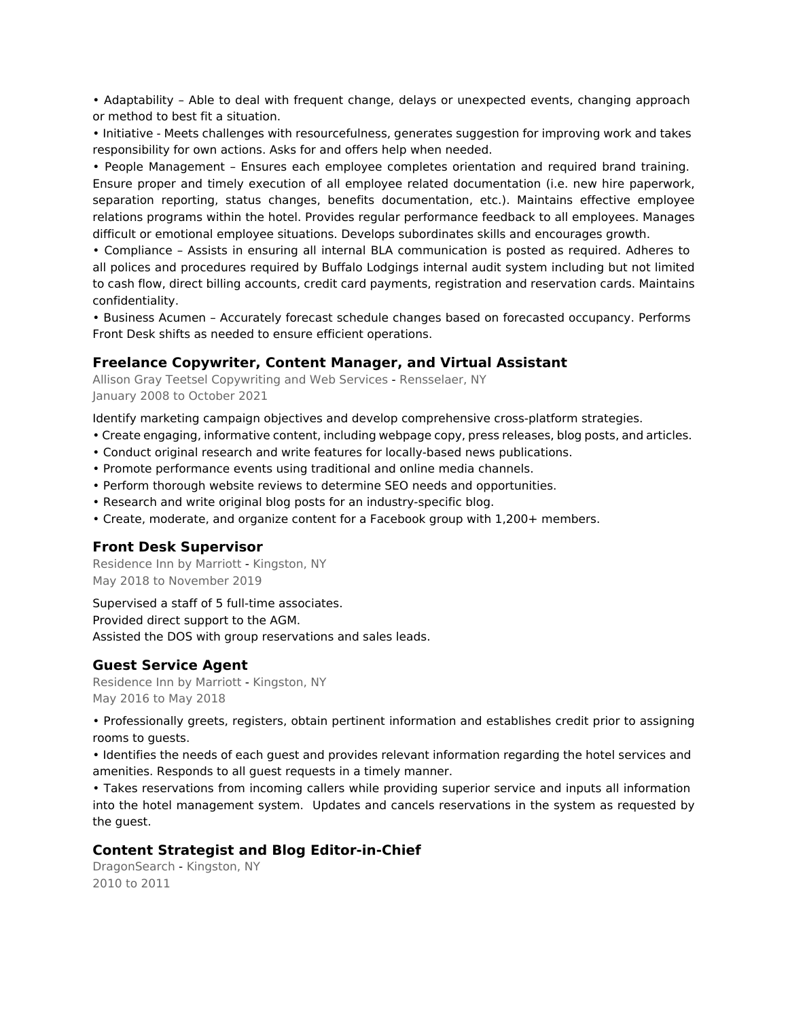• Adaptability – Able to deal with frequent change, delays or unexpected events, changing approach or method to best fit a situation.

• Initiative - Meets challenges with resourcefulness, generates suggestion for improving work and takes responsibility for own actions. Asks for and offers help when needed.

• People Management – Ensures each employee completes orientation and required brand training. Ensure proper and timely execution of all employee related documentation (i.e. new hire paperwork, separation reporting, status changes, benefits documentation, etc.). Maintains effective employee relations programs within the hotel. Provides regular performance feedback to all employees. Manages difficult or emotional employee situations. Develops subordinates skills and encourages growth.

• Compliance – Assists in ensuring all internal BLA communication is posted as required. Adheres to all polices and procedures required by Buffalo Lodgings internal audit system including but not limited to cash flow, direct billing accounts, credit card payments, registration and reservation cards. Maintains confidentiality.

• Business Acumen – Accurately forecast schedule changes based on forecasted occupancy. Performs Front Desk shifts as needed to ensure efficient operations.

#### **Freelance Copywriter, Content Manager, and Virtual Assistant**

Allison Gray Teetsel Copywriting and Web Services - Rensselaer, NY January 2008 to October 2021

Identify marketing campaign objectives and develop comprehensive cross-platform strategies.

- Create engaging, informative content, including webpage copy, press releases, blog posts, and articles.
- Conduct original research and write features for locally-based news publications.
- Promote performance events using traditional and online media channels.
- Perform thorough website reviews to determine SEO needs and opportunities.
- Research and write original blog posts for an industry-specific blog.
- Create, moderate, and organize content for a Facebook group with 1,200+ members.

## **Front Desk Supervisor**

Residence Inn by Marriott - Kingston, NY May 2018 to November 2019

Supervised a staff of 5 full-time associates. Provided direct support to the AGM. Assisted the DOS with group reservations and sales leads.

## **Guest Service Agent**

Residence Inn by Marriott - Kingston, NY May 2016 to May 2018

• Professionally greets, registers, obtain pertinent information and establishes credit prior to assigning rooms to guests.

• Identifies the needs of each guest and provides relevant information regarding the hotel services and amenities. Responds to all guest requests in a timely manner.

• Takes reservations from incoming callers while providing superior service and inputs all information into the hotel management system. Updates and cancels reservations in the system as requested by the guest.

## **Content Strategist and Blog Editor-in-Chief**

DragonSearch - Kingston, NY 2010 to 2011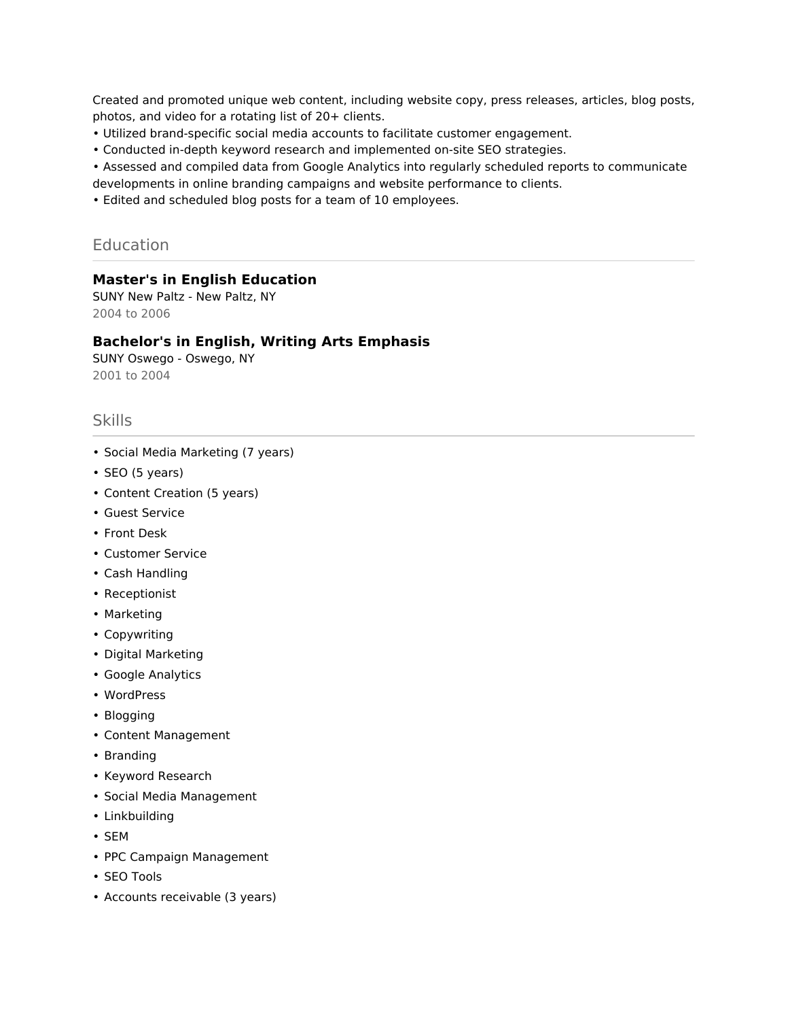Created and promoted unique web content, including website copy, press releases, articles, blog posts, photos, and video for a rotating list of 20+ clients.

- Utilized brand-specific social media accounts to facilitate customer engagement.
- Conducted in-depth keyword research and implemented on-site SEO strategies.

• Assessed and compiled data from Google Analytics into regularly scheduled reports to communicate developments in online branding campaigns and website performance to clients.

• Edited and scheduled blog posts for a team of 10 employees.

## Education

## **Master's in English Education**

SUNY New Paltz - New Paltz, NY 2004 to 2006

#### **Bachelor's in English, Writing Arts Emphasis**

SUNY Oswego - Oswego, NY 2001 to 2004

# Skills

- Social Media Marketing (7 years)
- SEO (5 years)
- Content Creation (5 years)
- Guest Service
- Front Desk
- Customer Service
- Cash Handling
- Receptionist
- Marketing
- Copywriting
- Digital Marketing
- Google Analytics
- WordPress
- Blogging
- Content Management
- Branding
- Keyword Research
- Social Media Management
- Linkbuilding
- SEM
- PPC Campaign Management
- SEO Tools
- Accounts receivable (3 years)